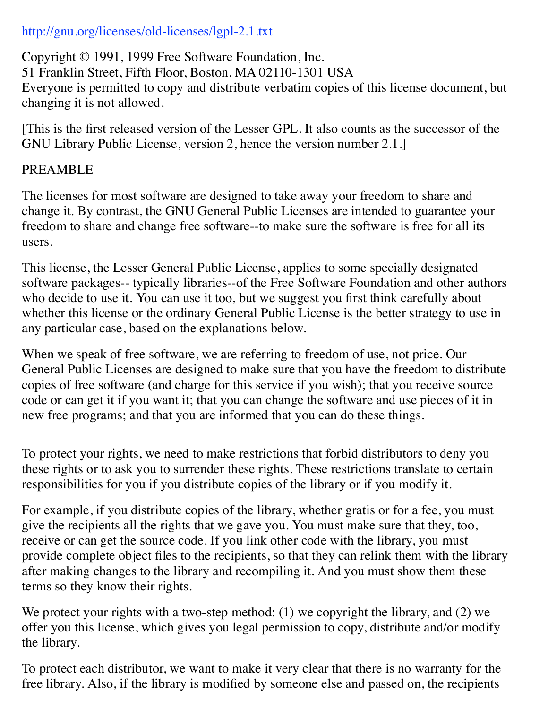## http://gnu.org/licenses/old-licenses/lgpl-2.1.txt

Copyright © 1991, 1999 Free Software Foundation, Inc. 51 Franklin Street, Fifth Floor, Boston, MA 02110-1301 USA Everyone is permitted to copy and distribute verbatim copies of this license document, but changing it is not allowed.

[This is the first released version of the Lesser GPL. It also counts as the successor of the GNU Library Public License, version 2, hence the version number 2.1.]

## PREAMBLE

The licenses for most software are designed to take away your freedom to share and change it. By contrast, the GNU General Public Licenses are intended to guarantee your freedom to share and change free software--to make sure the software is free for all its users.

This license, the Lesser General Public License, applies to some specially designated software packages-- typically libraries--of the Free Software Foundation and other authors who decide to use it. You can use it too, but we suggest you first think carefully about whether this license or the ordinary General Public License is the better strategy to use in any particular case, based on the explanations below.

When we speak of free software, we are referring to freedom of use, not price. Our General Public Licenses are designed to make sure that you have the freedom to distribute copies of free software (and charge for this service if you wish); that you receive source code or can get it if you want it; that you can change the software and use pieces of it in new free programs; and that you are informed that you can do these things.

To protect your rights, we need to make restrictions that forbid distributors to deny you these rights or to ask you to surrender these rights. These restrictions translate to certain responsibilities for you if you distribute copies of the library or if you modify it.

For example, if you distribute copies of the library, whether gratis or for a fee, you must give the recipients all the rights that we gave you. You must make sure that they, too, receive or can get the source code. If you link other code with the library, you must provide complete object files to the recipients, so that they can relink them with the library after making changes to the library and recompiling it. And you must show them these terms so they know their rights.

We protect your rights with a two-step method: (1) we copyright the library, and (2) we offer you this license, which gives you legal permission to copy, distribute and/or modify the library.

To protect each distributor, we want to make it very clear that there is no warranty for the free library. Also, if the library is modified by someone else and passed on, the recipients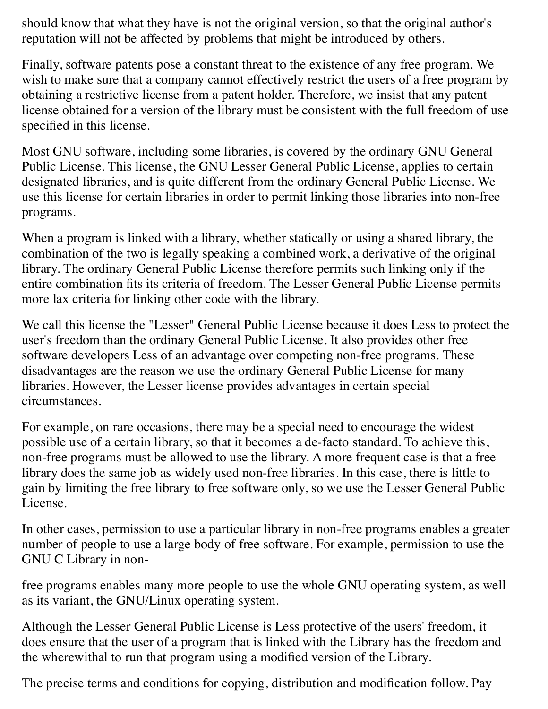should know that what they have is not the original version, so that the original author's reputation will not be affected by problems that might be introduced by others.

Finally, software patents pose a constant threat to the existence of any free program. We wish to make sure that a company cannot effectively restrict the users of a free program by obtaining a restrictive license from a patent holder. Therefore, we insist that any patent license obtained for a version of the library must be consistent with the full freedom of use specified in this license.

Most GNU software, including some libraries, is covered by the ordinary GNU General Public License. This license, the GNU Lesser General Public License, applies to certain designated libraries, and is quite different from the ordinary General Public License. We use this license for certain libraries in order to permit linking those libraries into non-free programs.

When a program is linked with a library, whether statically or using a shared library, the combination of the two is legally speaking a combined work, a derivative of the original library. The ordinary General Public License therefore permits such linking only if the entire combination fits its criteria of freedom. The Lesser General Public License permits more lax criteria for linking other code with the library.

We call this license the "Lesser" General Public License because it does Less to protect the user's freedom than the ordinary General Public License. It also provides other free software developers Less of an advantage over competing non-free programs. These disadvantages are the reason we use the ordinary General Public License for many libraries. However, the Lesser license provides advantages in certain special circumstances.

For example, on rare occasions, there may be a special need to encourage the widest possible use of a certain library, so that it becomes a de-facto standard. To achieve this, non-free programs must be allowed to use the library. A more frequent case is that a free library does the same job as widely used non-free libraries. In this case, there is little to gain by limiting the free library to free software only, so we use the Lesser General Public License.

In other cases, permission to use a particular library in non-free programs enables a greater number of people to use a large body of free software. For example, permission to use the GNU C Library in non-

free programs enables many more people to use the whole GNU operating system, as well as its variant, the GNU/Linux operating system.

Although the Lesser General Public License is Less protective of the users' freedom, it does ensure that the user of a program that is linked with the Library has the freedom and the wherewithal to run that program using a modified version of the Library.

The precise terms and conditions for copying, distribution and modification follow. Pay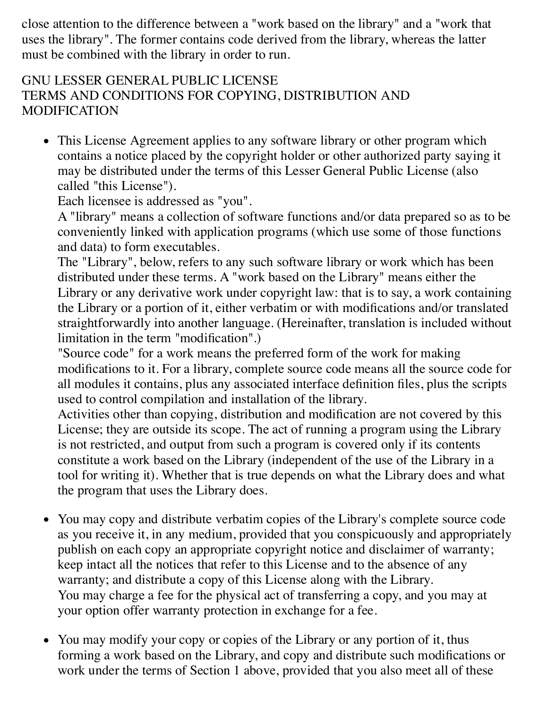close attention to the difference between a "work based on the library" and a "work that uses the library". The former contains code derived from the library, whereas the latter must be combined with the library in order to run.

## GNU LESSER GENERAL PUBLIC LICENSE TERMS AND CONDITIONS FOR COPYING, DISTRIBUTION AND MODIFICATION

• This License Agreement applies to any software library or other program which contains a notice placed by the copyright holder or other authorized party saying it may be distributed under the terms of this Lesser General Public License (also called "this License").

Each licensee is addressed as "you".

A "library" means a collection of software functions and/or data prepared so as to be conveniently linked with application programs (which use some of those functions and data) to form executables.

The "Library", below, refers to any such software library or work which has been distributed under these terms. A "work based on the Library" means either the Library or any derivative work under copyright law: that is to say, a work containing the Library or a portion of it, either verbatim or with modifications and/or translated straightforwardly into another language. (Hereinafter, translation is included without limitation in the term "modification".)

"Source code" for a work means the preferred form of the work for making modifications to it. For a library, complete source code means all the source code for all modules it contains, plus any associated interface definition files, plus the scripts used to control compilation and installation of the library.

Activities other than copying, distribution and modification are not covered by this License; they are outside its scope. The act of running a program using the Library is not restricted, and output from such a program is covered only if its contents constitute a work based on the Library (independent of the use of the Library in a tool for writing it). Whether that is true depends on what the Library does and what the program that uses the Library does.

- You may copy and distribute verbatim copies of the Library's complete source code as you receive it, in any medium, provided that you conspicuously and appropriately publish on each copy an appropriate copyright notice and disclaimer of warranty; keep intact all the notices that refer to this License and to the absence of any warranty; and distribute a copy of this License along with the Library. You may charge a fee for the physical act of transferring a copy, and you may at your option offer warranty protection in exchange for a fee.
- You may modify your copy or copies of the Library or any portion of it, thus forming a work based on the Library, and copy and distribute such modifications or work under the terms of Section 1 above, provided that you also meet all of these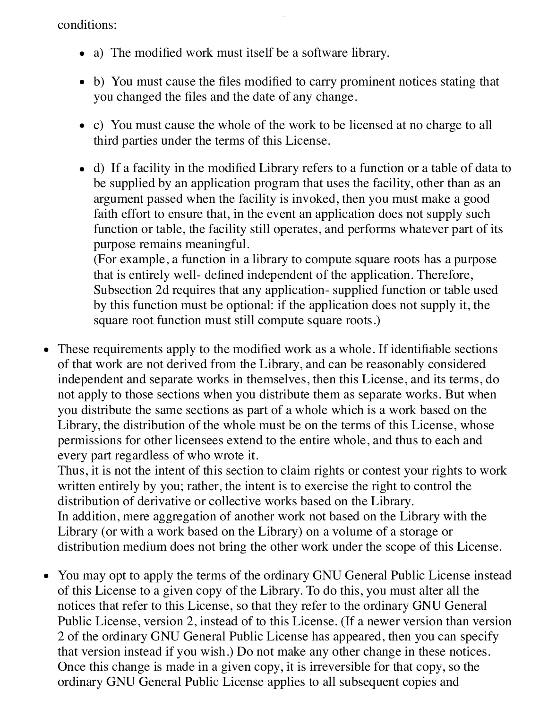conditions:

- a) The modified work must itself be a software library.
- b) You must cause the files modified to carry prominent notices stating that you changed the files and the date of any change.

work under the terms of Section 1 above, provided that you also meet all of these provided that you also meet<br>The terms of these provided that you also meet all of these provided that you also meet all of these provided

- c) You must cause the whole of the work to be licensed at no charge to all third parties under the terms of this License.
- d) If a facility in the modified Library refers to a function or a table of data to be supplied by an application program that uses the facility, other than as an argument passed when the facility is invoked, then you must make a good faith effort to ensure that, in the event an application does not supply such function or table, the facility still operates, and performs whatever part of its purpose remains meaningful.

(For example, a function in a library to compute square roots has a purpose that is entirely well- defined independent of the application. Therefore, Subsection 2d requires that any application- supplied function or table used by this function must be optional: if the application does not supply it, the square root function must still compute square roots.)

These requirements apply to the modified work as a whole. If identifiable sections of that work are not derived from the Library, and can be reasonably considered independent and separate works in themselves, then this License, and its terms, do not apply to those sections when you distribute them as separate works. But when you distribute the same sections as part of a whole which is a work based on the Library, the distribution of the whole must be on the terms of this License, whose permissions for other licensees extend to the entire whole, and thus to each and every part regardless of who wrote it.

Thus, it is not the intent of this section to claim rights or contest your rights to work written entirely by you; rather, the intent is to exercise the right to control the distribution of derivative or collective works based on the Library. In addition, mere aggregation of another work not based on the Library with the Library (or with a work based on the Library) on a volume of a storage or distribution medium does not bring the other work under the scope of this License.

You may opt to apply the terms of the ordinary GNU General Public License instead  $\bullet$ of this License to a given copy of the Library. To do this, you must alter all the notices that refer to this License, so that they refer to the ordinary GNU General Public License, version 2, instead of to this License. (If a newer version than version 2 of the ordinary GNU General Public License has appeared, then you can specify that version instead if you wish.) Do not make any other change in these notices. Once this change is made in a given copy, it is irreversible for that copy, so the ordinary GNU General Public License applies to all subsequent copies and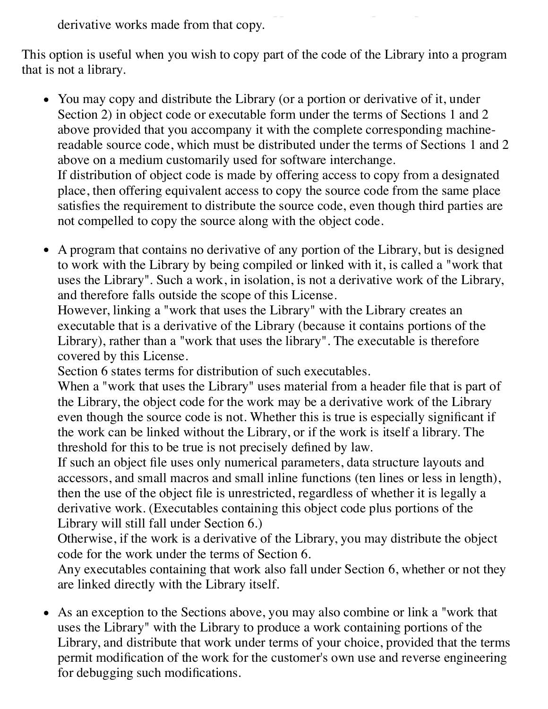ordinary GNU General Public License applies to all subsequent copies and derivative works made from that copy.

This option is useful when you wish to copy part of the code of the Library into a program that is not a library.

- You may copy and distribute the Library (or a portion or derivative of it, under Section 2) in object code or executable form under the terms of Sections 1 and 2 above provided that you accompany it with the complete corresponding machinereadable source code, which must be distributed under the terms of Sections 1 and 2 above on a medium customarily used for software interchange. If distribution of object code is made by offering access to copy from a designated place, then offering equivalent access to copy the source code from the same place satisfies the requirement to distribute the source code, even though third parties are not compelled to copy the source along with the object code.
- A program that contains no derivative of any portion of the Library, but is designed to work with the Library by being compiled or linked with it, is called a "work that uses the Library". Such a work, in isolation, is not a derivative work of the Library, and therefore falls outside the scope of this License.

However, linking a "work that uses the Library" with the Library creates an executable that is a derivative of the Library (because it contains portions of the Library), rather than a "work that uses the library". The executable is therefore covered by this License.

Section 6 states terms for distribution of such executables.

When a "work that uses the Library" uses material from a header file that is part of the Library, the object code for the work may be a derivative work of the Library even though the source code is not. Whether this is true is especially significant if the work can be linked without the Library, or if the work is itself a library. The threshold for this to be true is not precisely defined by law.

If such an object file uses only numerical parameters, data structure layouts and accessors, and small macros and small inline functions (ten lines or less in length), then the use of the object file is unrestricted, regardless of whether it is legally a derivative work. (Executables containing this object code plus portions of the Library will still fall under Section 6.)

Otherwise, if the work is a derivative of the Library, you may distribute the object code for the work under the terms of Section 6.

Any executables containing that work also fall under Section 6, whether or not they are linked directly with the Library itself.

As an exception to the Sections above, you may also combine or link a "work that uses the Library" with the Library to produce a work containing portions of the Library, and distribute that work under terms of your choice, provided that the terms permit modification of the work for the customer's own use and reverse engineering for debugging such modifications.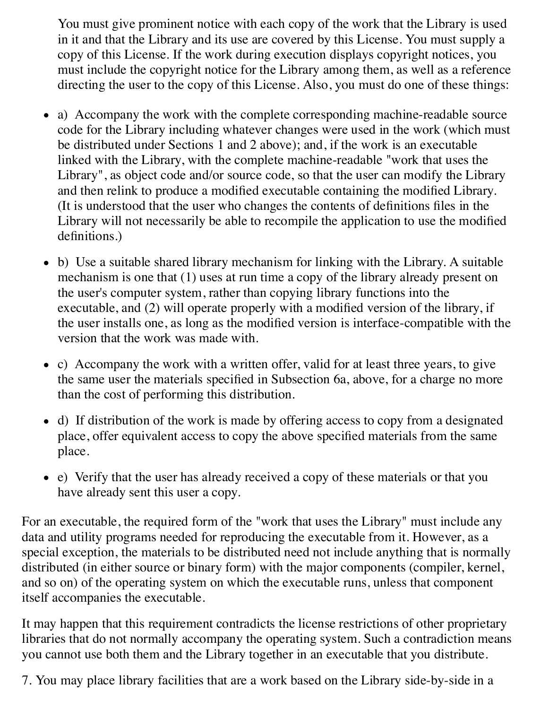You must give prominent notice with each copy of the work that the Library is used in it and that the Library and its use are covered by this License. You must supply a copy of this License. If the work during execution displays copyright notices, you must include the copyright notice for the Library among them, as well as a reference directing the user to the copy of this License. Also, you must do one of these things:

- a) Accompany the work with the complete corresponding machine-readable source code for the Library including whatever changes were used in the work (which must be distributed under Sections 1 and 2 above); and, if the work is an executable linked with the Library, with the complete machine-readable "work that uses the Library", as object code and/or source code, so that the user can modify the Library and then relink to produce a modified executable containing the modified Library. (It is understood that the user who changes the contents of definitions files in the Library will not necessarily be able to recompile the application to use the modified definitions.)
- b) Use a suitable shared library mechanism for linking with the Library. A suitable mechanism is one that (1) uses at run time a copy of the library already present on the user's computer system, rather than copying library functions into the executable, and (2) will operate properly with a modified version of the library, if the user installs one, as long as the modified version is interface-compatible with the version that the work was made with.
- c) Accompany the work with a written offer, valid for at least three years, to give the same user the materials specified in Subsection 6a, above, for a charge no more than the cost of performing this distribution.
- d) If distribution of the work is made by offering access to copy from a designated place, offer equivalent access to copy the above specified materials from the same place.
- e) Verify that the user has already received a copy of these materials or that you have already sent this user a copy.

For an executable, the required form of the "work that uses the Library" must include any data and utility programs needed for reproducing the executable from it. However, as a special exception, the materials to be distributed need not include anything that is normally distributed (in either source or binary form) with the major components (compiler, kernel, and so on) of the operating system on which the executable runs, unless that component itself accompanies the executable.

It may happen that this requirement contradicts the license restrictions of other proprietary libraries that do not normally accompany the operating system. Such a contradiction means you cannot use both them and the Library together in an executable that you distribute.

7. You may place library facilities that are a work based on the Library side-by-side in a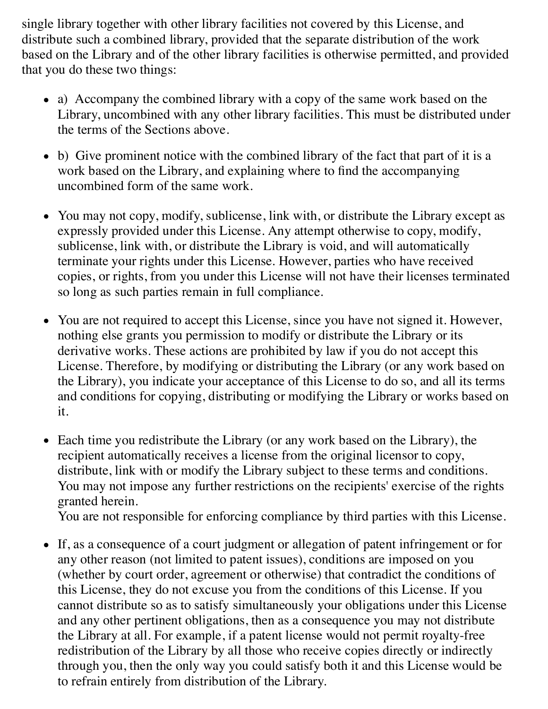single library together with other library facilities not covered by this License, and distribute such a combined library, provided that the separate distribution of the work based on the Library and of the other library facilities is otherwise permitted, and provided that you do these two things:

- a) Accompany the combined library with a copy of the same work based on the Library, uncombined with any other library facilities. This must be distributed under the terms of the Sections above.
- b) Give prominent notice with the combined library of the fact that part of it is a work based on the Library, and explaining where to find the accompanying uncombined form of the same work.
- You may not copy, modify, sublicense, link with, or distribute the Library except as expressly provided under this License. Any attempt otherwise to copy, modify, sublicense, link with, or distribute the Library is void, and will automatically terminate your rights under this License. However, parties who have received copies, or rights, from you under this License will not have their licenses terminated so long as such parties remain in full compliance.
- You are not required to accept this License, since you have not signed it. However, nothing else grants you permission to modify or distribute the Library or its derivative works. These actions are prohibited by law if you do not accept this License. Therefore, by modifying or distributing the Library (or any work based on the Library), you indicate your acceptance of this License to do so, and all its terms and conditions for copying, distributing or modifying the Library or works based on it.
- Each time you redistribute the Library (or any work based on the Library), the recipient automatically receives a license from the original licensor to copy, distribute, link with or modify the Library subject to these terms and conditions. You may not impose any further restrictions on the recipients' exercise of the rights granted herein.

You are not responsible for enforcing compliance by third parties with this License.

If, as a consequence of a court judgment or allegation of patent infringement or for any other reason (not limited to patent issues), conditions are imposed on you (whether by court order, agreement or otherwise) that contradict the conditions of this License, they do not excuse you from the conditions of this License. If you cannot distribute so as to satisfy simultaneously your obligations under this License and any other pertinent obligations, then as a consequence you may not distribute the Library at all. For example, if a patent license would not permit royalty-free redistribution of the Library by all those who receive copies directly or indirectly through you, then the only way you could satisfy both it and this License would be to refrain entirely from distribution of the Library.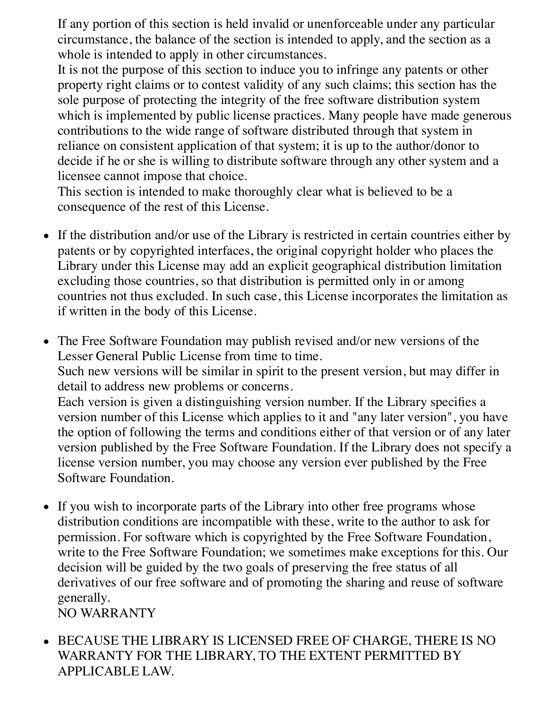If any portion of this section is held invalid or unenforceable under any particular circumstance, the balance of the section is intended to apply, and the section as a whole is intended to apply in other circumstances.

It is not the purpose of this section to induce you to infringe any patents or other property right claims or to contest validity of any such claims; this section has the sole purpose of protecting the integrity of the free software distribution system which is implemented by public license practices. Many people have made generous contributions to the wide range of software distributed through that system in reliance on consistent application of that system; it is up to the author/donor to decide if he or she is willing to distribute software through any other system and a licensee cannot impose that choice.

This section is intended to make thoroughly clear what is believed to be a consequence of the rest of this License.

- If the distribution and/or use of the Library is restricted in certain countries either by patents or by copyrighted interfaces, the original copyright holder who places the Library under this License may add an explicit geographical distribution limitation excluding those countries, so that distribution is permitted only in or among countries not thus excluded. In such case, this License incorporates the limitation as if written in the body of this License.
- The Free Software Foundation may publish revised and/or new versions of the Lesser General Public License from time to time. Such new versions will be similar in spirit to the present version, but may differ in detail to address new problems or concerns. Each version is given a distinguishing version number. If the Library specifies a version number of this License which applies to it and "any later version", you have the option of following the terms and conditions either of that version or of any later version published by the Free Software Foundation. If the Library does not specify a license version number, you may choose any version ever published by the Free Software Foundation.
- If you wish to incorporate parts of the Library into other free programs whose distribution conditions are incompatible with these, write to the author to ask for permission. For software which is copyrighted by the Free Software Foundation, write to the Free Software Foundation; we sometimes make exceptions for this. Our decision will be guided by the two goals of preserving the free status of all derivatives of our free software and of promoting the sharing and reuse of software generally.

NO WARRANTY

BECAUSE THE LIBRARY IS LICENSED FREE OF CHARGE, THERE IS NO WARRANTY FOR THE LIBRARY, TO THE EXTENT PERMITTED BY APPLICABLE LAW.